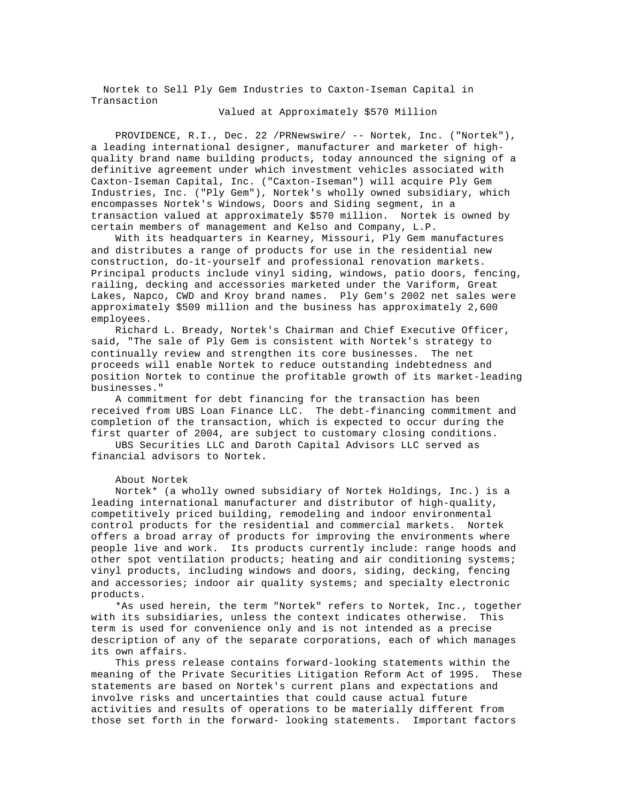Nortek to Sell Ply Gem Industries to Caxton-Iseman Capital in Transaction

## Valued at Approximately \$570 Million

 PROVIDENCE, R.I., Dec. 22 /PRNewswire/ -- Nortek, Inc. ("Nortek"), a leading international designer, manufacturer and marketer of highquality brand name building products, today announced the signing of a definitive agreement under which investment vehicles associated with Caxton-Iseman Capital, Inc. ("Caxton-Iseman") will acquire Ply Gem Industries, Inc. ("Ply Gem"), Nortek's wholly owned subsidiary, which encompasses Nortek's Windows, Doors and Siding segment, in a transaction valued at approximately \$570 million. Nortek is owned by certain members of management and Kelso and Company, L.P.

 With its headquarters in Kearney, Missouri, Ply Gem manufactures and distributes a range of products for use in the residential new construction, do-it-yourself and professional renovation markets. Principal products include vinyl siding, windows, patio doors, fencing, railing, decking and accessories marketed under the Variform, Great Lakes, Napco, CWD and Kroy brand names. Ply Gem's 2002 net sales were approximately \$509 million and the business has approximately 2,600 employees.

 Richard L. Bready, Nortek's Chairman and Chief Executive Officer, said, "The sale of Ply Gem is consistent with Nortek's strategy to continually review and strengthen its core businesses. The net proceeds will enable Nortek to reduce outstanding indebtedness and position Nortek to continue the profitable growth of its market-leading businesses."

 A commitment for debt financing for the transaction has been received from UBS Loan Finance LLC. The debt-financing commitment and completion of the transaction, which is expected to occur during the first quarter of 2004, are subject to customary closing conditions.

 UBS Securities LLC and Daroth Capital Advisors LLC served as financial advisors to Nortek.

## About Nortek

 Nortek\* (a wholly owned subsidiary of Nortek Holdings, Inc.) is a leading international manufacturer and distributor of high-quality, competitively priced building, remodeling and indoor environmental control products for the residential and commercial markets. Nortek offers a broad array of products for improving the environments where people live and work. Its products currently include: range hoods and other spot ventilation products; heating and air conditioning systems; vinyl products, including windows and doors, siding, decking, fencing and accessories; indoor air quality systems; and specialty electronic products.

 \*As used herein, the term "Nortek" refers to Nortek, Inc., together with its subsidiaries, unless the context indicates otherwise. This term is used for convenience only and is not intended as a precise description of any of the separate corporations, each of which manages its own affairs.

 This press release contains forward-looking statements within the meaning of the Private Securities Litigation Reform Act of 1995. These statements are based on Nortek's current plans and expectations and involve risks and uncertainties that could cause actual future activities and results of operations to be materially different from those set forth in the forward- looking statements. Important factors